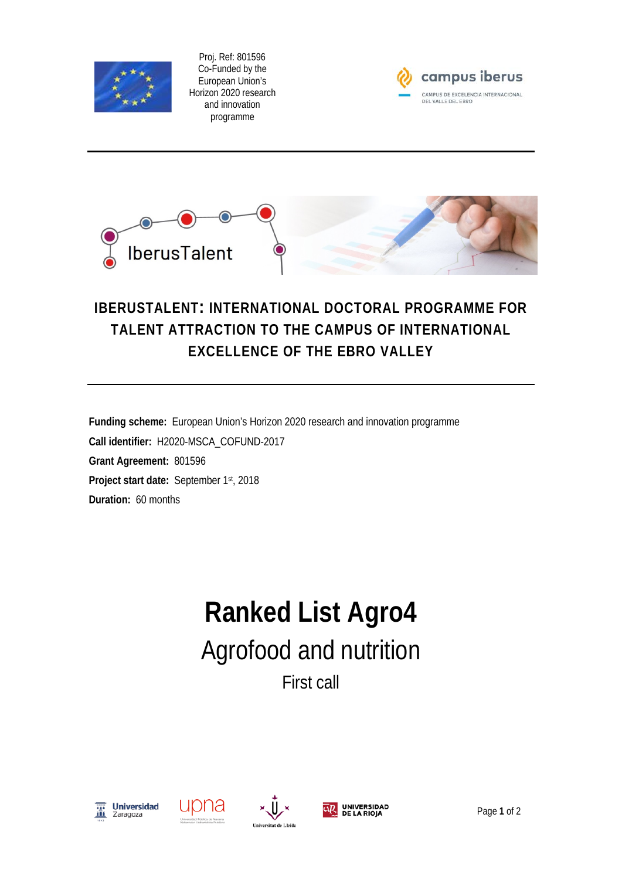

Proj. Ref: 801596 Co-Funded by the European Union's Horizon 2020 research and innovation programme





## **IBERUSTALENT: INTERNATIONAL DOCTORAL PROGRAMME FOR TALENT ATTRACTION TO THE CAMPUS OF INTERNATIONAL EXCELLENCE OF THE EBRO VALLEY**

**Funding scheme:** European Union's Horizon 2020 research and innovation programme **Call identifier:** H2020-MSCA\_COFUND-2017 **Grant Agreement:** 801596 **Project start date:** September 1st, 2018 **Duration:** 60 months

## **Ranked List Agro4** Agrofood and nutrition First call